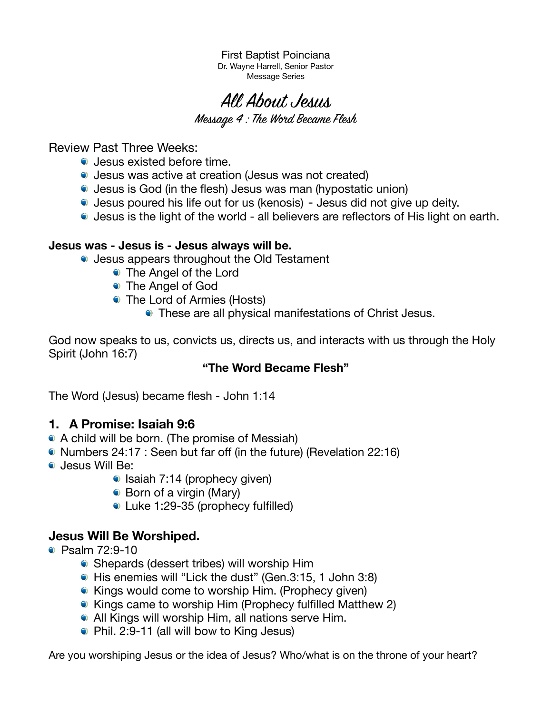First Baptist Poinciana Dr. Wayne Harrell, Senior Pastor Message Series

All About Jesus

Message 4 : The Word Became Flesh

Review Past Three Weeks:

- Jesus existed before time.
- Jesus was active at creation (Jesus was not created)
- Jesus is God (in the flesh) Jesus was man (hypostatic union)
- Jesus poured his life out for us (kenosis) Jesus did not give up deity.
- Jesus is the light of the world all believers are reflectors of His light on earth.

#### **Jesus was - Jesus is - Jesus always will be.**

- Jesus appears throughout the Old Testament
	- The Angel of the Lord
	- The Angel of God
	- The Lord of Armies (Hosts)
		- These are all physical manifestations of Christ Jesus.

God now speaks to us, convicts us, directs us, and interacts with us through the Holy Spirit (John 16:7)

## **"The Word Became Flesh"**

The Word (Jesus) became flesh - John 1:14

## **1. A Promise: Isaiah 9:6**

- A child will be born. (The promise of Messiah)
- Numbers 24:17 : Seen but far off (in the future) (Revelation 22:16)
- Jesus Will Be:
	- $\bullet$  Isaiah 7:14 (prophecy given)
	- Born of a virgin (Mary)
	- Luke 1:29-35 (prophecy fulfilled)

## **Jesus Will Be Worshiped.**

- Psalm 72:9-10
	- Shepards (dessert tribes) will worship Him
	- His enemies will "Lick the dust" (Gen.3:15, 1 John 3:8)
	- Kings would come to worship Him. (Prophecy given)
	- Kings came to worship Him (Prophecy fulfilled Matthew 2)
	- All Kings will worship Him, all nations serve Him.
	- Phil. 2:9-11 (all will bow to King Jesus)

Are you worshiping Jesus or the idea of Jesus? Who/what is on the throne of your heart?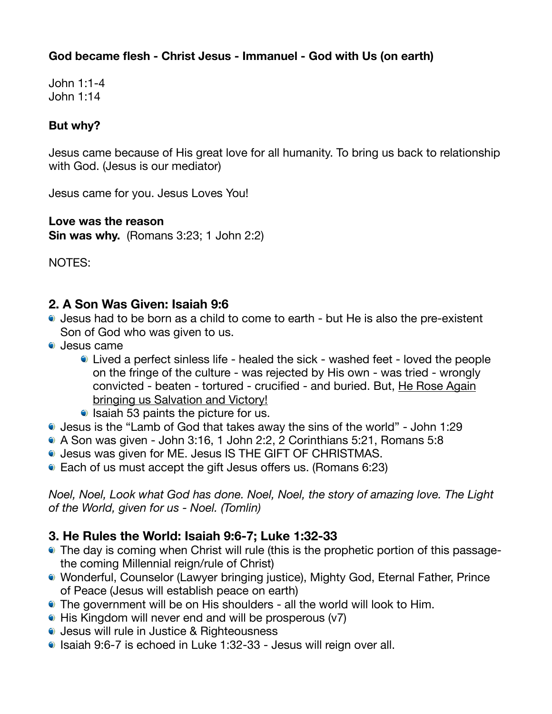# **God became flesh - Christ Jesus - Immanuel - God with Us (on earth)**

John 1:1-4 John 1:14

## **But why?**

Jesus came because of His great love for all humanity. To bring us back to relationship with God. (Jesus is our mediator)

Jesus came for you. Jesus Loves You!

#### **Love was the reason**

**Sin was why.** (Romans 3:23; 1 John 2:2)

NOTES:

# **2. A Son Was Given: Isaiah 9:6**

- Jesus had to be born as a child to come to earth but He is also the pre-existent Son of God who was given to us.
- Jesus came
	- Lived a perfect sinless life healed the sick washed feet loved the people on the fringe of the culture - was rejected by His own - was tried - wrongly convicted - beaten - tortured - crucified - and buried. But, He Rose Again bringing us Salvation and Victory!
	- $\bullet$  Isaiah 53 paints the picture for us.
- Jesus is the "Lamb of God that takes away the sins of the world" John 1:29
- A Son was given John 3:16, 1 John 2:2, 2 Corinthians 5:21, Romans 5:8
- Jesus was given for ME. Jesus IS THE GIFT OF CHRISTMAS.
- Each of us must accept the gift Jesus offers us. (Romans 6:23)

*Noel, Noel, Look what God has done. Noel, Noel, the story of amazing love. The Light of the World, given for us - Noel. (Tomlin)* 

# **3. He Rules the World: Isaiah 9:6-7; Luke 1:32-33**

- The day is coming when Christ will rule (this is the prophetic portion of this passagethe coming Millennial reign/rule of Christ)
- Wonderful, Counselor (Lawyer bringing justice), Mighty God, Eternal Father, Prince of Peace (Jesus will establish peace on earth)
- The government will be on His shoulders all the world will look to Him.
- His Kingdom will never end and will be prosperous (v7)
- Jesus will rule in Justice & Righteousness
- Isaiah 9:6-7 is echoed in Luke 1:32-33 Jesus will reign over all.